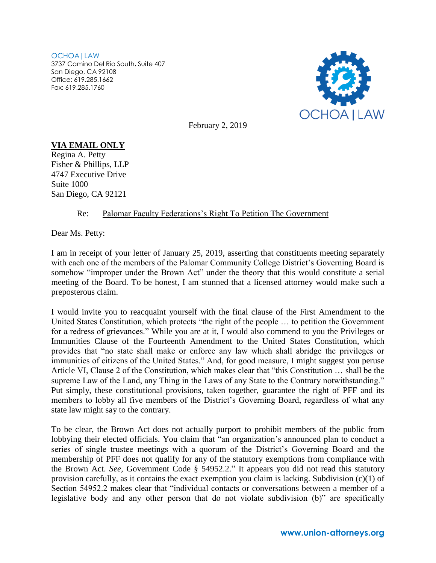OCHOA|LAW 3737 Camino Del Rio South, Suite 407 San Diego, CA 92108 Office: 619.285.1662 Fax: 619.285.1760



February 2, 2019

## **VIA EMAIL ONLY**

Regina A. Petty Fisher & Phillips, LLP 4747 Executive Drive Suite 1000 San Diego, CA 92121

## Re: Palomar Faculty Federations's Right To Petition The Government

Dear Ms. Petty:

I am in receipt of your letter of January 25, 2019, asserting that constituents meeting separately with each one of the members of the Palomar Community College District's Governing Board is somehow "improper under the Brown Act" under the theory that this would constitute a serial meeting of the Board. To be honest, I am stunned that a licensed attorney would make such a preposterous claim.

I would invite you to reacquaint yourself with the final clause of the First Amendment to the United States Constitution, which protects "the right of the people … to petition the Government for a redress of grievances." While you are at it, I would also commend to you the Privileges or Immunities Clause of the Fourteenth Amendment to the United States Constitution, which provides that "no state shall make or enforce any law which shall abridge the privileges or immunities of citizens of the United States." And, for good measure, I might suggest you peruse Article VI, Clause 2 of the Constitution, which makes clear that "this Constitution … shall be the supreme Law of the Land, any Thing in the Laws of any State to the Contrary notwithstanding." Put simply, these constitutional provisions, taken together, guarantee the right of PFF and its members to lobby all five members of the District's Governing Board, regardless of what any state law might say to the contrary.

To be clear, the Brown Act does not actually purport to prohibit members of the public from lobbying their elected officials. You claim that "an organization's announced plan to conduct a series of single trustee meetings with a quorum of the District's Governing Board and the membership of PFF does not qualify for any of the statutory exemptions from compliance with the Brown Act. *See,* Government Code § 54952.2." It appears you did not read this statutory provision carefully, as it contains the exact exemption you claim is lacking. Subdivision (c)(1) of Section 54952.2 makes clear that "individual contacts or conversations between a member of a legislative body and any other person that do not violate subdivision (b)" are specifically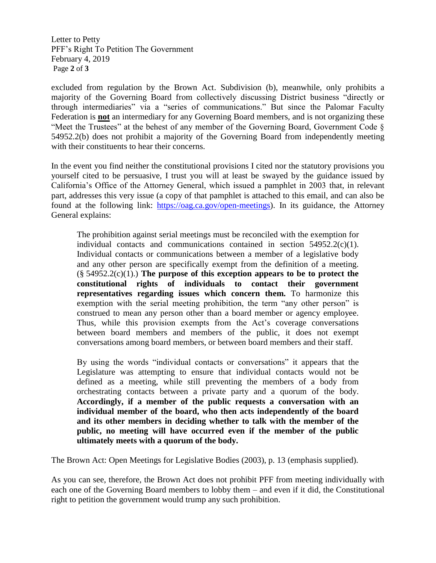Letter to Petty PFF's Right To Petition The Government February 4, 2019 Page **2** of **3**

excluded from regulation by the Brown Act. Subdivision (b), meanwhile, only prohibits a majority of the Governing Board from collectively discussing District business "directly or through intermediaries" via a "series of communications." But since the Palomar Faculty Federation is **not** an intermediary for any Governing Board members, and is not organizing these "Meet the Trustees" at the behest of any member of the Governing Board, Government Code § 54952.2(b) does not prohibit a majority of the Governing Board from independently meeting with their constituents to hear their concerns.

In the event you find neither the constitutional provisions I cited nor the statutory provisions you yourself cited to be persuasive, I trust you will at least be swayed by the guidance issued by California's Office of the Attorney General, which issued a pamphlet in 2003 that, in relevant part, addresses this very issue (a copy of that pamphlet is attached to this email, and can also be found at the following link: [https://oag.ca.gov/open-meetings\)](https://oag.ca.gov/open-meetings). In its guidance, the Attorney General explains:

The prohibition against serial meetings must be reconciled with the exemption for individual contacts and communications contained in section  $54952.2(c)(1)$ . Individual contacts or communications between a member of a legislative body and any other person are specifically exempt from the definition of a meeting.  $(\S 54952.2(c)(1))$ . The purpose of this exception appears to be to protect the **constitutional rights of individuals to contact their government representatives regarding issues which concern them.** To harmonize this exemption with the serial meeting prohibition, the term "any other person" is construed to mean any person other than a board member or agency employee. Thus, while this provision exempts from the Act's coverage conversations between board members and members of the public, it does not exempt conversations among board members, or between board members and their staff.

By using the words "individual contacts or conversations" it appears that the Legislature was attempting to ensure that individual contacts would not be defined as a meeting, while still preventing the members of a body from orchestrating contacts between a private party and a quorum of the body. **Accordingly, if a member of the public requests a conversation with an individual member of the board, who then acts independently of the board and its other members in deciding whether to talk with the member of the public, no meeting will have occurred even if the member of the public ultimately meets with a quorum of the body.**

The Brown Act: Open Meetings for Legislative Bodies (2003), p. 13 (emphasis supplied).

As you can see, therefore, the Brown Act does not prohibit PFF from meeting individually with each one of the Governing Board members to lobby them – and even if it did, the Constitutional right to petition the government would trump any such prohibition.